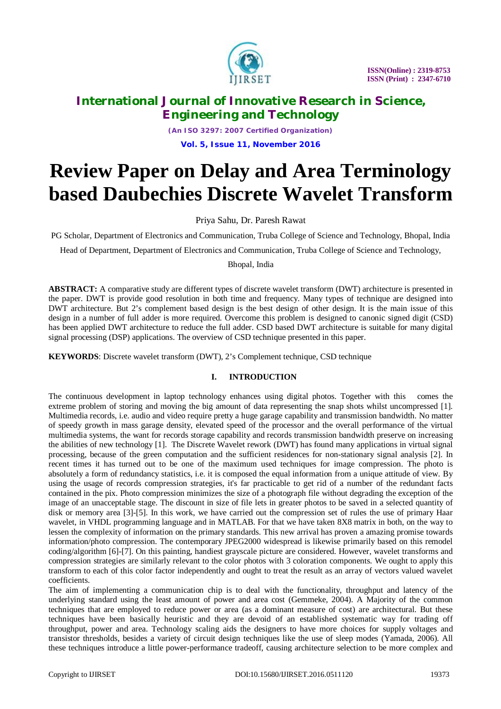

*(An ISO 3297: 2007 Certified Organization)* **Vol. 5, Issue 11, November 2016**

# **Review Paper on Delay and Area Terminology based Daubechies Discrete Wavelet Transform**

Priya Sahu, Dr. Paresh Rawat

PG Scholar, Department of Electronics and Communication, Truba College of Science and Technology, Bhopal, India

Head of Department, Department of Electronics and Communication, Truba College of Science and Technology,

Bhopal, India

**ABSTRACT:** A comparative study are different types of discrete wavelet transform (DWT) architecture is presented in the paper. DWT is provide good resolution in both time and frequency. Many types of technique are designed into DWT architecture. But 2's complement based design is the best design of other design. It is the main issue of this design in a number of full adder is more required. Overcome this problem is designed to canonic signed digit (CSD) has been applied DWT architecture to reduce the full adder. CSD based DWT architecture is suitable for many digital signal processing (DSP) applications. The overview of CSD technique presented in this paper.

**KEYWORDS**: Discrete wavelet transform (DWT), 2's Complement technique, CSD technique

### **I. INTRODUCTION**

The continuous development in laptop technology enhances using digital photos. Together with this comes the extreme problem of storing and moving the big amount of data representing the snap shots whilst uncompressed [1]. Multimedia records, i.e. audio and video require pretty a huge garage capability and transmission bandwidth. No matter of speedy growth in mass garage density, elevated speed of the processor and the overall performance of the virtual multimedia systems, the want for records storage capability and records transmission bandwidth preserve on increasing the abilities of new technology [1]. The Discrete Wavelet rework (DWT) has found many applications in virtual signal processing, because of the green computation and the sufficient residences for non-stationary signal analysis [2]. In recent times it has turned out to be one of the maximum used techniques for image compression. The photo is absolutely a form of redundancy statistics, i.e. it is composed the equal information from a unique attitude of view. By using the usage of records compression strategies, it's far practicable to get rid of a number of the redundant facts contained in the pix. Photo compression minimizes the size of a photograph file without degrading the exception of the image of an unacceptable stage. The discount in size of file lets in greater photos to be saved in a selected quantity of disk or memory area [3]-[5]. In this work, we have carried out the compression set of rules the use of primary Haar wavelet, in VHDL programming language and in MATLAB. For that we have taken 8X8 matrix in both, on the way to lessen the complexity of information on the primary standards. This new arrival has proven a amazing promise towards information/photo compression. The contemporary JPEG2000 widespread is likewise primarily based on this remodel coding/algorithm [6]-[7]. On this painting, handiest grayscale picture are considered. However, wavelet transforms and compression strategies are similarly relevant to the color photos with 3 coloration components. We ought to apply this transform to each of this color factor independently and ought to treat the result as an array of vectors valued wavelet coefficients.

The aim of implementing a communication chip is to deal with the functionality, throughput and latency of the underlying standard using the least amount of power and area cost (Gemmeke, 2004). A Majority of the common techniques that are employed to reduce power or area (as a dominant measure of cost) are architectural. But these techniques have been basically heuristic and they are devoid of an established systematic way for trading off throughput, power and area. Technology scaling aids the designers to have more choices for supply voltages and transistor thresholds, besides a variety of circuit design techniques like the use of sleep modes (Yamada, 2006). All these techniques introduce a little power-performance tradeoff, causing architecture selection to be more complex and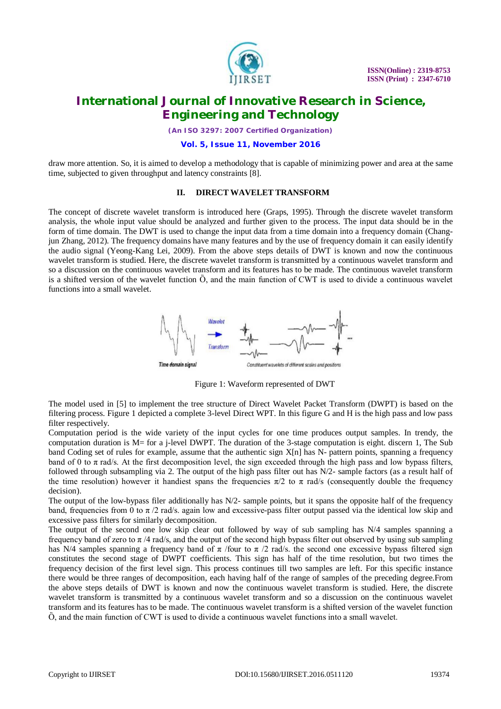

*(An ISO 3297: 2007 Certified Organization)*

**Vol. 5, Issue 11, November 2016**

draw more attention. So, it is aimed to develop a methodology that is capable of minimizing power and area at the same time, subjected to given throughput and latency constraints [8].

### **II. DIRECT WAVELET TRANSFORM**

The concept of discrete wavelet transform is introduced here (Graps, 1995). Through the discrete wavelet transform analysis, the whole input value should be analyzed and further given to the process. The input data should be in the form of time domain. The DWT is used to change the input data from a time domain into a frequency domain (Changjun Zhang, 2012). The frequency domains have many features and by the use of frequency domain it can easily identify the audio signal (Yeong-Kang Lei, 2009). From the above steps details of DWT is known and now the continuous wavelet transform is studied. Here, the discrete wavelet transform is transmitted by a continuous wavelet transform and so a discussion on the continuous wavelet transform and its features has to be made. The continuous wavelet transform is a shifted version of the wavelet function  $\ddot{O}$ , and the main function of CWT is used to divide a continuous wavelet functions into a small wavelet.



Figure 1: Waveform represented of DWT

The model used in [5] to implement the tree structure of Direct Wavelet Packet Transform (DWPT) is based on the filtering process. Figure 1 depicted a complete 3-level Direct WPT. In this figure G and H is the high pass and low pass filter respectively.

Computation period is the wide variety of the input cycles for one time produces output samples. In trendy, the computation duration is M= for a j-level DWPT. The duration of the 3-stage computation is eight. discern 1, The Sub band Coding set of rules for example, assume that the authentic sign X[n] has N- pattern points, spanning a frequency band of 0 to  $\pi$  rad/s. At the first decomposition level, the sign exceeded through the high pass and low bypass filters, followed through subsampling via 2. The output of the high pass filter out has N/2- sample factors (as a result half of the time resolution) however it handiest spans the frequencies  $\pi/2$  to  $\pi$  rad/s (consequently double the frequency decision).

The output of the low-bypass filer additionally has  $N/2$ - sample points, but it spans the opposite half of the frequency band, frequencies from 0 to  $\pi/2$  rad/s, again low and excessive-pass filter output passed via the identical low skip and excessive pass filters for similarly decomposition.

The output of the second one low skip clear out followed by way of sub sampling has N/4 samples spanning a frequency band of zero to  $\pi$  /4 rad/s, and the output of the second high bypass filter out observed by using sub sampling has N/4 samples spanning a frequency band of  $\pi$  /four to  $\pi$  /2 rad/s. the second one excessive bypass filtered sign constitutes the second stage of DWPT coefficients. This sign has half of the time resolution, but two times the frequency decision of the first level sign. This process continues till two samples are left. For this specific instance there would be three ranges of decomposition, each having half of the range of samples of the preceding degree.From the above steps details of DWT is known and now the continuous wavelet transform is studied. Here, the discrete wavelet transform is transmitted by a continuous wavelet transform and so a discussion on the continuous wavelet transform and its features has to be made. The continuous wavelet transform is a shifted version of the wavelet function  $\ddot{O}$ , and the main function of CWT is used to divide a continuous wavelet functions into a small wavelet.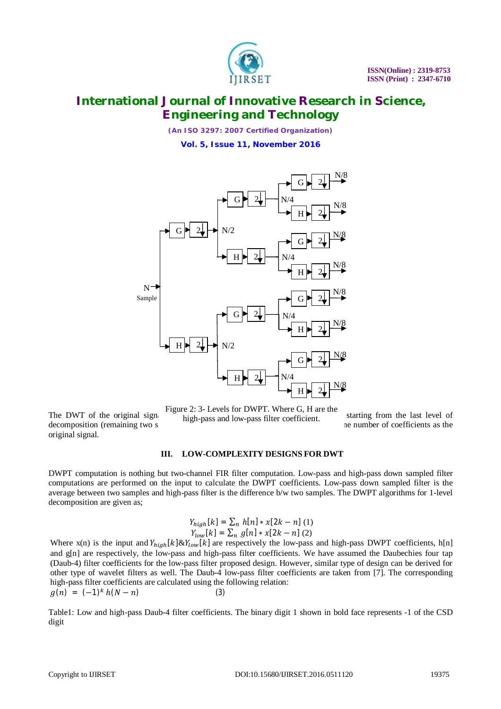

*(An ISO 3297: 2007 Certified Organization)* **Vol. 5, Issue 11, November 2016**



Figure 2: 3- Levels for DWPT. Where G, H are the high-pass and low-pass filter coefficient.

The DWT of the original signal  $\frac{1}{2}$  is the pass and low pass filter coefficients starting from the last level of decomposition (remaining two samples, in the same number of coefficients as the original signal.

### **III. LOW-COMPLEXITY DESIGNS FOR DWT**

DWPT computation is nothing but two-channel FIR filter computation. Low-pass and high-pass down sampled filter computations are performed on the input to calculate the DWPT coefficients. Low-pass down sampled filter is the average between two samples and high-pass filter is the difference b/w two samples. The DWPT algorithms for 1-level decomposition are given as;

$$
Y_{high}[k] = \sum_{n} h[n] * x[2k - n] (1)
$$
  
 
$$
Y_{low}[k] = \sum_{n} g[n] * x[2k - n] (2)
$$

Where  $x(n)$  is the input and  $Y_{high}[k] \& Y_{low}[k]$  are respectively the low-pass and high-pass DWPT coefficients, h[n] and g[n] are respectively, the low-pass and high-pass filter coefficients. We have assumed the Daubechies four tap (Daub-4) filter coefficients for the low-pass filter proposed design. However, similar type of design can be derived for other type of wavelet filters as well. The Daub-4 low-pass filter coefficients are taken from [7]. The corresponding high-pass filter coefficients are calculated using the following relation:  $g(n) = (-1)^k h(N - n)$  (3)

Table1: Low and high-pass Daub-4 filter coefficients. The binary digit 1 shown in bold face represents -1 of the CSD digit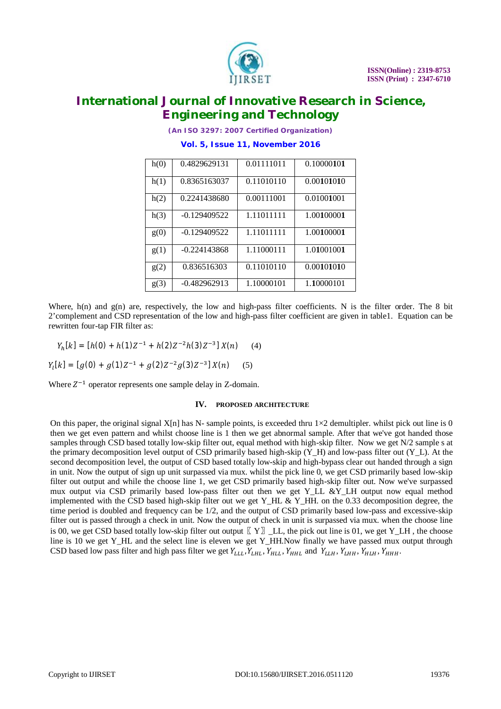

*(An ISO 3297: 2007 Certified Organization)*

# **Vol. 5, Issue 11, November 2016** h(0) 0.4829629131 0.01111011 0.10000**1**0**1**

| 11 (V) | 0.4022022121   | <u></u>    | <u>v. IVAAALIVI</u> |
|--------|----------------|------------|---------------------|
| h(1)   | 0.8365163037   | 0.11010110 | 0.00101010          |
| h(2)   | 0.2241438680   | 0.00111001 | 0.01001001          |
| h(3)   | $-0.129409522$ | 1.11011111 | 1.00100001          |
| g(0)   | $-0.129409522$ | 1.11011111 | 1.00100001          |
| g(1)   | $-0.224143868$ | 1.11000111 | 1.01001001          |
| g(2)   | 0.836516303    | 0.11010110 | 0.00101010          |
| g(3)   | $-0.482962913$ | 1.10000101 | 1.10000101          |

Where,  $h(n)$  and  $g(n)$  are, respectively, the low and high-pass filter coefficients. N is the filter order. The 8 bit 2'complement and CSD representation of the low and high-pass filter coefficient are given in table1. Equation can be rewritten four-tap FIR filter as:

$$
Y_h[k] = [h(0) + h(1)Z^{-1} + h(2)Z^{-2}h(3)Z^{-3}]X(n) \quad (4)
$$

$$
Y_{l}[k] = [g(0) + g(1)Z^{-1} + g(2)Z^{-2}g(3)Z^{-3}]X(n) \quad (5)
$$

Where  $Z^{-1}$  operator represents one sample delay in Z-domain.

### **IV. PROPOSED ARCHITECTURE**

On this paper, the original signal  $X[n]$  has N- sample points, is exceeded thru  $1\times 2$  demultipler. whilst pick out line is 0 then we get even pattern and whilst choose line is 1 then we get abnormal sample. After that we've got handed those samples through CSD based totally low-skip filter out, equal method with high-skip filter. Now we get N/2 sample s at the primary decomposition level output of CSD primarily based high-skip  $(Y_H)$  and low-pass filter out  $(Y_L)$ . At the second decomposition level, the output of CSD based totally low-skip and high-bypass clear out handed through a sign in unit. Now the output of sign up unit surpassed via mux. whilst the pick line 0, we get CSD primarily based low-skip filter out output and while the choose line 1, we get CSD primarily based high-skip filter out. Now we've surpassed mux output via CSD primarily based low-pass filter out then we get Y\_LL &Y\_LH output now equal method implemented with the CSD based high-skip filter out we get Y\_HL & Y\_HH. on the 0.33 decomposition degree, the time period is doubled and frequency can be 1/2, and the output of CSD primarily based low-pass and excessive-skip filter out is passed through a check in unit. Now the output of check in unit is surpassed via mux. when the choose line is 00, we get CSD based totally low-skip filter out output  $\lbrack \lbrack Y \rbrack \rbrack$  \_LL, the pick out line is 01, we get Y\_LH, the choose line is 10 we get Y\_HL and the select line is eleven we get Y\_HH.Now finally we have passed mux output through CSD based low pass filter and high pass filter we get  $Y_{LLL}$ ,  $Y_{HHL}$ ,  $Y_{HHL}$ ,  $Y_{HHL}$ , and  $Y_{LLH}$ ,  $Y_{HHH}$ ,  $Y_{HHH}$ ,  $Y_{HHH}$ ,  $Y_{HHH}$ ,  $Y_{HHH}$ ,  $Y_{HHH}$ ,  $Y_{HH}$ ,  $Y_{HH}$ ,  $Y_{HH}$ ,  $Y_{HH}$ ,  $Y_{HH}$ ,  $Y_{HH}$ ,  $Y_{HH}$ ,  $Y_{HH}$ ,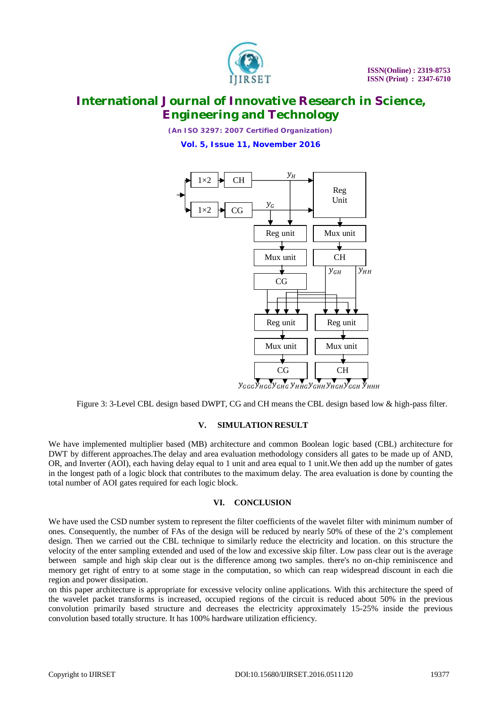

(An ISO 3297: 2007 Certified Organization) Vol. 5, Issue 11, November 2016



Figure 3: 3-Level CBL design based DWPT, CG and CH means the CBL design based low & high-pass filter.

#### **SIMULATION RESULT**  $V_{\rm{L}}$

We have implemented multiplier based (MB) architecture and common Boolean logic based (CBL) architecture for DWT by different approaches. The delay and area evaluation methodology considers all gates to be made up of AND, OR, and Inverter (AOI), each having delay equal to 1 unit and area equal to 1 unit. We then add up the number of gates in the longest path of a logic block that contributes to the maximum delay. The area evaluation is done by counting the total number of AOI gates required for each logic block.

### VI. CONCLUSION

We have used the CSD number system to represent the filter coefficients of the wavelet filter with minimum number of ones. Consequently, the number of FAs of the design will be reduced by nearly 50% of these of the 2's complement design. Then we carried out the CBL technique to similarly reduce the electricity and location, on this structure the velocity of the enter sampling extended and used of the low and excessive skip filter. Low pass clear out is the average between sample and high skip clear out is the difference among two samples, there's no on-chip reminiscence and memory get right of entry to at some stage in the computation, so which can reap widespread discount in each die region and power dissipation.

on this paper architecture is appropriate for excessive velocity online applications. With this architecture the speed of the wavelet packet transforms is increased, occupied regions of the circuit is reduced about 50% in the previous convolution primarily based structure and decreases the electricity approximately 15-25% inside the previous convolution based totally structure. It has 100% hardware utilization efficiency.